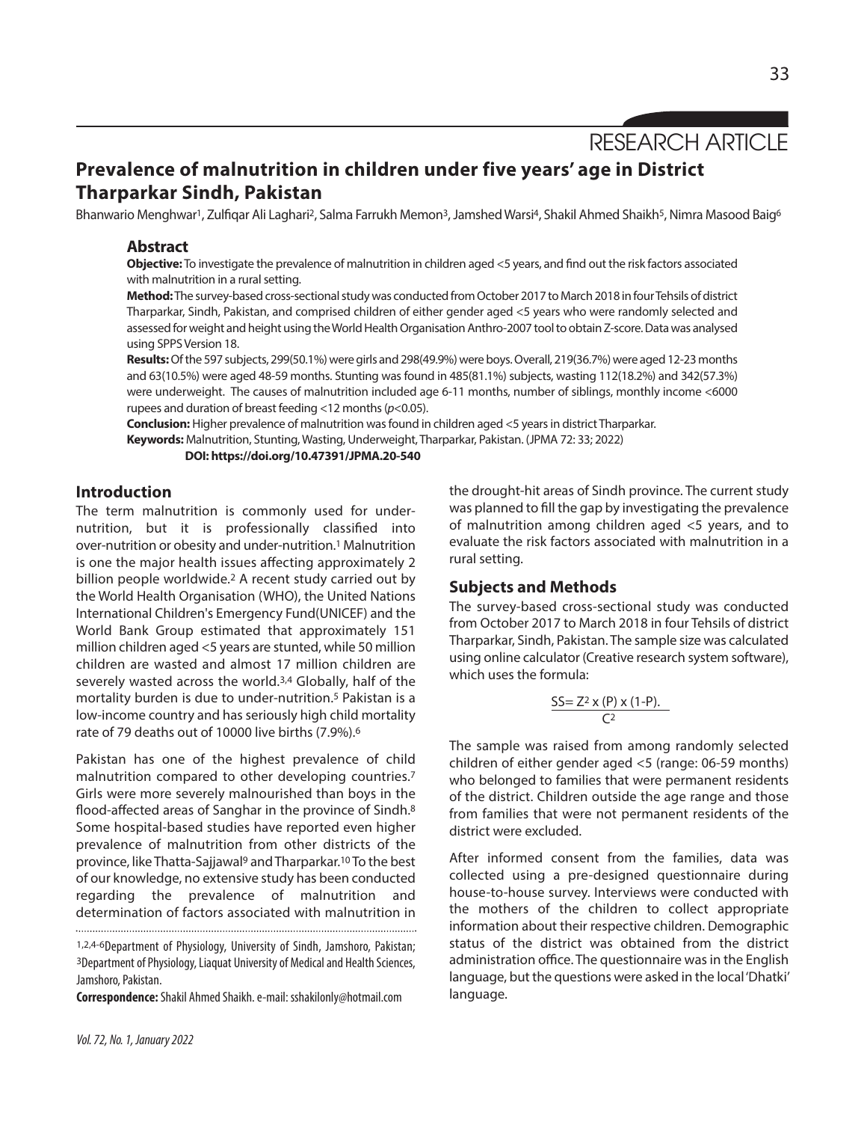RESEARCH ARTICLE

# **Prevalence of malnutrition in children under five years' age in District Tharparkar Sindh, Pakistan**

Bhanwario Menghwar<sup>1</sup>, Zulfigar Ali Laghari<sup>2</sup>, Salma Farrukh Memon<sup>3</sup>, Jamshed Warsi<sup>4</sup>, Shakil Ahmed Shaikh<sup>5</sup>, Nimra Masood Baig<sup>6</sup>

### **Abstract**

**Objective:** To investigate the prevalence of malnutrition in children aged <5 years, and find out the risk factors associated with malnutrition in a rural setting.

Method: The survey-based cross-sectional study was conducted from October 2017 to March 2018 in four Tehsils of district Tharparkar, Sindh, Pakistan, and comprised children of either gender aged <5 years who were randomly selected and assessed for weight and height using the World Health Organisation Anthro-2007 tool to obtain Z-score. Data was analysed using SPPS Version 18.

Results: Of the 597 subjects, 299(50.1%) were girls and 298(49.9%) were boys. Overall, 219(36.7%) were aged 12-23 months and 63(10.5%) were aged 48-59 months. Stunting was found in 485(81.1%) subjects, wasting 112(18.2%) and 342(57.3%) were underweight. The causes of malnutrition included age 6-11 months, number of siblings, monthly income <6000 rupees and duration of breast feeding <12 months(*p*<0.05).

Conclusion: Higher prevalence of malnutrition was found in children aged <5 years in district Tharparkar. **Keywords:** Malnutrition, Stunting,Wasting, Underweight, Tharparkar, Pakistan. (JPMA 72: 33; 2022)

**DOI: https://doi.org/10.47391/JPMA.20-540**

# **Introduction**

The term malnutrition is commonly used for undernutrition, but it is professionally classified into over-nutrition or obesity and under-nutrition. <sup>1</sup> Malnutrition is one the major health issues affecting approximately 2 billion people worldwide.2 A recent study carried out by the World Health Organisation (WHO), the United Nations International Children's Emergency Fund(UNICEF) and the World Bank Group estimated that approximately 151 million children aged <5 years are stunted, while 50 million children are wasted and almost 17 million children are severely wasted across the world.3,4 Globally, half of the mortality burden is due to under-nutrition.5 Pakistan is a low-income country and has seriously high child mortality rate of 79 deaths out of 10000 live births (7.9%). 6

Pakistan has one of the highest prevalence of child malnutrition compared to other developing countries.7 Girls were more severely malnourished than boys in the flood-affected areas of Sanghar in the province of Sindh.<sup>8</sup> Some hospital-based studies have reported even higher prevalence of malnutrition from other districts of the province, like Thatta-Sajjawal<sup>9</sup> and Tharparkar.<sup>10</sup> To the best of our knowledge, no extensive study has been conducted regarding the prevalence of malnutrition and determination of factors associated with malnutrition in

1,2,4-6Department of Physiology, University of Sindh, Jamshoro, Pakistan; <sup>3</sup>Department of Physiology, Liaquat University of Medical and Health Sciences, Jamshoro, Pakistan.

**Correspondence:** Shakil Ahmed Shaikh. e-mail: sshakilonly@hotmail.com

was planned to fill the gap by investigating the prevalence of malnutrition among children aged <5 years, and to evaluate the risk factors associated with malnutrition in a rural setting.

the drought-hit areas of Sindh province. The current study

# **Subjects and Methods**

The survey-based cross-sectional study was conducted from October 2017 to March 2018 in four Tehsils of district Tharparkar, Sindh, Pakistan. The sample size was calculated using online calculator (Creative research system software), which uses the formula:

$$
\frac{SS = Z^2 \times (P) \times (1-P)}{C^2}.
$$

The sample was raised from among randomly selected children of either gender aged <5 (range: 06-59 months) who belonged to families that were permanent residents of the district. Children outside the age range and those from families that were not permanent residents of the district were excluded.

After informed consent from the families, data was collected using a pre-designed questionnaire during house-to-house survey. Interviews were conducted with the mothers of the children to collect appropriate information about their respective children. Demographic status of the district was obtained from the district administration office. The questionnaire was in the English language, but the questions were asked in the local'Dhatki' language.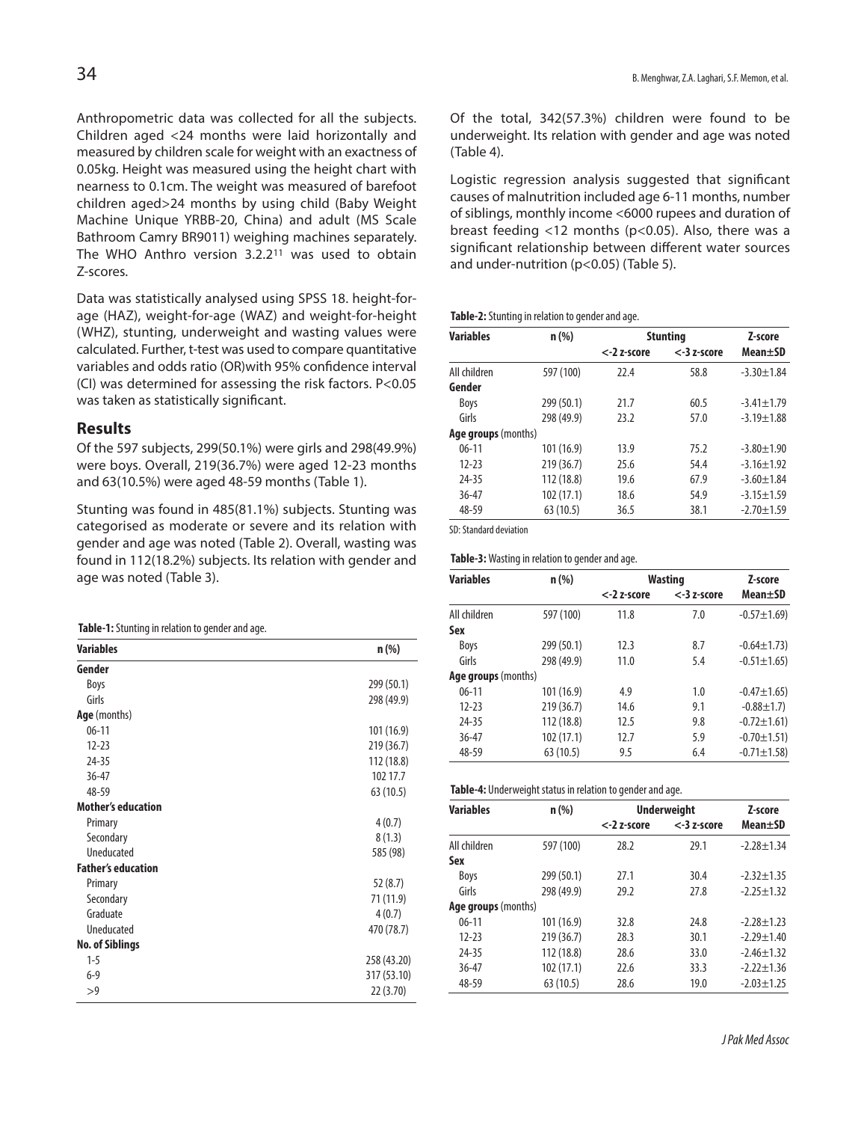Anthropometric data was collected for all the subjects. Children aged <24 months were laid horizontally and measured by children scale for weight with an exactness of 0.05kg. Height was measured using the height chart with nearness to 0.1cm. The weight was measured of barefoot children aged>24 months by using child (Baby Weight Machine Unique YRBB-20, China) and adult (MS Scale Bathroom Camry BR9011) weighing machines separately. The WHO Anthro version 3.2.211 was used to obtain Z-scores.

Data was statistically analysed using SPSS 18. height-forage (HAZ), weight-for-age (WAZ) and weight-for-height (WHZ), stunting, underweight and wasting values were calculated. Further, t-test was used to compare quantitative variables and odds ratio (OR)with 95% confidence interval (CI) was determined for assessing the risk factors. P<0.05 was taken as statistically significant.

### **Results**

Of the 597 subjects, 299(50.1%) were girls and 298(49.9%) were boys. Overall, 219(36.7%) were aged 12-23 months and 63(10.5%) were aged 48-59 months (Table 1).

Stunting was found in 485(81.1%) subjects. Stunting was categorised as moderate or severe and its relation with gender and age was noted (Table 2). Overall, wasting was found in 112(18.2%) subjects. Its relation with gender and age was noted (Table 3).

| Table-1: Stunting in relation to gender and age. |  |  |  |  |  |
|--------------------------------------------------|--|--|--|--|--|
|--------------------------------------------------|--|--|--|--|--|

| <b>Variables</b>          | $n$ (%)     |
|---------------------------|-------------|
| Gender                    |             |
| Boys                      | 299 (50.1)  |
| Girls                     | 298 (49.9)  |
| Age (months)              |             |
| $06 - 11$                 | 101 (16.9)  |
| $12 - 23$                 | 219 (36.7)  |
| $24 - 35$                 | 112 (18.8)  |
| $36 - 47$                 | 102 17.7    |
| 48-59                     | 63 (10.5)   |
| <b>Mother's education</b> |             |
| Primary                   | 4(0.7)      |
| Secondary                 | 8(1.3)      |
| Uneducated                | 585 (98)    |
| <b>Father's education</b> |             |
| Primary                   | 52(8.7)     |
| Secondary                 | 71 (11.9)   |
| Graduate                  | 4(0.7)      |
| Uneducated                | 470 (78.7)  |
| <b>No. of Siblings</b>    |             |
| $1 - 5$                   | 258 (43.20) |
| $6 - 9$                   | 317 (53.10) |
| >9                        | 22 (3.70)   |

Of the total, 342(57.3%) children were found to be underweight. Its relation with gender and age was noted (Table 4).

Logistic regression analysis suggested that significant causes of malnutrition included age 6-11 months, number of siblings, monthly income <6000 rupees and duration of breast feeding <12 months (p<0.05). Also, there was a significant relationship between different water sources and under-nutrition (p<0.05) (Table 5).

#### **Table-2:** Stunting in relation to gender and age.

| <b>Variables</b>    | $n$ (%)    | <b>Stunting</b> | Z-score        |                  |
|---------------------|------------|-----------------|----------------|------------------|
|                     |            | <-2 z-score     | $<$ -3 z-score | Mean±SD          |
| All children        | 597 (100)  | 22.4            | 58.8           | $-3.30 \pm 1.84$ |
| Gender              |            |                 |                |                  |
| Boys                | 299 (50.1) | 21.7            | 60.5           | $-3.41 \pm 1.79$ |
| Girls               | 298 (49.9) | 23.2            | 57.0           | $-3.19 \pm 1.88$ |
| Age groups (months) |            |                 |                |                  |
| $06 - 11$           | 101 (16.9) | 13.9            | 75.2           | $-3.80 + 1.90$   |
| $12 - 23$           | 219(36.7)  | 25.6            | 54.4           | $-3.16 \pm 1.92$ |
| 24-35               | 112 (18.8) | 19.6            | 67.9           | $-3.60 \pm 1.84$ |
| $36 - 47$           | 102(17.1)  | 18.6            | 54.9           | $-3.15 \pm 1.59$ |
| 48-59               | 63(10.5)   | 36.5            | 38.1           | $-2.70 + 1.59$   |

SD: Standard deviation

#### Table-3: Wasting in relation to gender and age.

| <b>Variables</b>    | $n$ (%)    |             | <b>Wasting</b> |                  |  |
|---------------------|------------|-------------|----------------|------------------|--|
|                     |            | <-2 z-score | $<$ -3 z-score | Mean±SD          |  |
| All children        | 597 (100)  | 11.8        | 7.0            | $-0.57 \pm 1.69$ |  |
| Sex                 |            |             |                |                  |  |
| Boys                | 299 (50.1) | 12.3        | 8.7            | $-0.64 \pm 1.73$ |  |
| Girls               | 298 (49.9) | 11.0        | 5.4            | $-0.51 \pm 1.65$ |  |
| Age groups (months) |            |             |                |                  |  |
| $06-11$             | 101 (16.9) | 4.9         | 1.0            | $-0.47 \pm 1.65$ |  |
| $12 - 23$           | 219(36.7)  | 14.6        | 9.1            | $-0.88 \pm 1.7$  |  |
| 24-35               | 112 (18.8) | 12.5        | 9.8            | $-0.72 \pm 1.61$ |  |
| $36 - 47$           | 102 (17.1) | 12.7        | 5.9            | $-0.70 \pm 1.51$ |  |
| 48-59               | 63(10.5)   | 9.5         | 6.4            | $-0.71 \pm 1.58$ |  |

| Table-4: Underweight status in relation to gender and age. |  |  |
|------------------------------------------------------------|--|--|
|                                                            |  |  |

| <b>Variables</b>           | $n$ (%)    | <b>Underweight</b> | Z-score        |                  |
|----------------------------|------------|--------------------|----------------|------------------|
|                            |            | $<$ -2 z-score     | $<$ -3 z-score | Mean+SD          |
| All children               | 597 (100)  | 28.2               | 29.1           | $-2.28 + 1.34$   |
| Sex                        |            |                    |                |                  |
| Boys                       | 299 (50.1) | 27.1               | 30.4           | $-2.32 + 1.35$   |
| Girls                      | 298 (49.9) | 29.2               | 27.8           | $-2.25 + 1.32$   |
| <b>Age groups</b> (months) |            |                    |                |                  |
| $06 - 11$                  | 101 (16.9) | 32.8               | 24.8           | $-2.28 + 1.23$   |
| $12 - 23$                  | 219 (36.7) | 28.3               | 30.1           | $-2.29 + 1.40$   |
| 24-35                      | 112 (18.8) | 28.6               | 33.0           | $-2.46 \pm 1.32$ |
| $36 - 47$                  | 102(17.1)  | 22.6               | 33.3           | $-2.22 \pm 1.36$ |
| 48-59                      | 63 (10.5)  | 28.6               | 19.0           | $-2.03 + 1.25$   |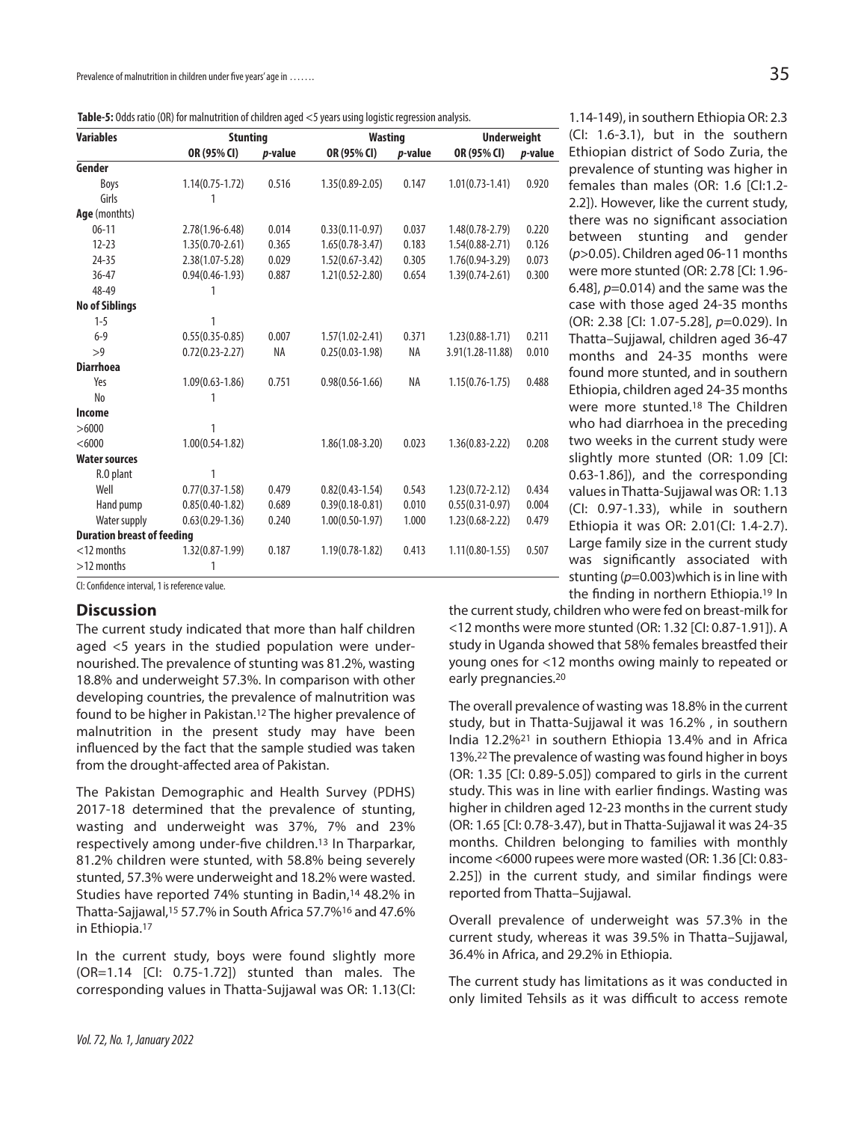| Table-5: Odds ratio (OR) for malnutrition of children aged <5 years using logistic regression analysis. |  |  |
|---------------------------------------------------------------------------------------------------------|--|--|
|                                                                                                         |  |  |

| <b>Variables</b>                  | <b>Stunting</b>     |                 | <b>Wasting</b>      |                 | <b>Underweight</b>  |                 | (CI: 1.6-3.1), but in the southern            |
|-----------------------------------|---------------------|-----------------|---------------------|-----------------|---------------------|-----------------|-----------------------------------------------|
|                                   | OR (95% CI)         | <i>p</i> -value | OR (95% CI)         | <i>p</i> -value | OR (95% CI)         | <i>p</i> -value | Ethiopian district of Sodo Zuria, the         |
| Gender                            |                     |                 |                     |                 |                     |                 | prevalence of stunting was higher in          |
| Boys                              | $1.14(0.75 - 1.72)$ | 0.516           | $1.35(0.89 - 2.05)$ | 0.147           | $1.01(0.73 - 1.41)$ | 0.920           | females than males (OR: 1.6 [Cl:1.2-          |
| Girls                             |                     |                 |                     |                 |                     |                 | 2.2]). However, like the current study,       |
| Age (monthts)                     |                     |                 |                     |                 |                     |                 | there was no significant association          |
| $06 - 11$                         | $2.78(1.96 - 6.48)$ | 0.014           | $0.33(0.11-0.97)$   | 0.037           | $1.48(0.78 - 2.79)$ | 0.220           | between stunting and gender                   |
| $12 - 23$                         | $1.35(0.70-2.61)$   | 0.365           | $1.65(0.78-3.47)$   | 0.183           | $1.54(0.88 - 2.71)$ | 0.126           |                                               |
| $24 - 35$                         | $2.38(1.07 - 5.28)$ | 0.029           | $1.52(0.67 - 3.42)$ | 0.305           | $1.76(0.94 - 3.29)$ | 0.073           | $(p>0.05)$ . Children aged 06-11 months       |
| $36 - 47$                         | $0.94(0.46 - 1.93)$ | 0.887           | $1.21(0.52 - 2.80)$ | 0.654           | $1.39(0.74 - 2.61)$ | 0.300           | were more stunted (OR: 2.78 [CI: 1.96-        |
| 48-49                             |                     |                 |                     |                 |                     |                 | 6.48], $p=0.014$ ) and the same was the       |
| <b>No of Siblings</b>             |                     |                 |                     |                 |                     |                 | case with those aged 24-35 months             |
| $1 - 5$                           |                     |                 |                     |                 |                     |                 | (OR: 2.38 [Cl: 1.07-5.28], p=0.029). In       |
| $6 - 9$                           | $0.55(0.35 - 0.85)$ | 0.007           | $1.57(1.02 - 2.41)$ | 0.371           | $1.23(0.88-1.71)$   | 0.211           | Thatta-Sujjawal, children aged 36-47          |
| >9                                | $0.72(0.23 - 2.27)$ | NA              | $0.25(0.03-1.98)$   | NA              | 3.91(1.28-11.88)    | 0.010           | months and 24-35 months were                  |
| <b>Diarrhoea</b>                  |                     |                 |                     |                 |                     |                 | found more stunted, and in southern           |
| Yes                               | $1.09(0.63 - 1.86)$ | 0.751           | $0.98(0.56 - 1.66)$ | NA              | $1.15(0.76 - 1.75)$ | 0.488           |                                               |
| No                                |                     |                 |                     |                 |                     |                 | Ethiopia, children aged 24-35 months          |
| Income                            |                     |                 |                     |                 |                     |                 | were more stunted. <sup>18</sup> The Children |
| >6000                             |                     |                 |                     |                 |                     |                 | who had diarrhoea in the preceding            |
| < 6000                            | $1.00(0.54-1.82)$   |                 | $1.86(1.08-3.20)$   | 0.023           | $1.36(0.83 - 2.22)$ | 0.208           | two weeks in the current study were           |
| <b>Water sources</b>              |                     |                 |                     |                 |                     |                 | slightly more stunted (OR: 1.09 [CI:          |
| R.O plant                         |                     |                 |                     |                 |                     |                 | 0.63-1.86]), and the corresponding            |
| Well                              | $0.77(0.37 - 1.58)$ | 0.479           | $0.82(0.43 - 1.54)$ | 0.543           | $1.23(0.72 - 2.12)$ | 0.434           | values in Thatta-Sujjawal was OR: 1.13        |
| Hand pump                         | $0.85(0.40-1.82)$   | 0.689           | $0.39(0.18 - 0.81)$ | 0.010           | $0.55(0.31-0.97)$   | 0.004           | (CI: 0.97-1.33), while in southern            |
| Water supply                      | $0.63(0.29-1.36)$   | 0.240           | $1.00(0.50-1.97)$   | 1.000           | $1.23(0.68 - 2.22)$ | 0.479           | Ethiopia it was OR: 2.01(Cl: 1.4-2.7).        |
| <b>Duration breast of feeding</b> |                     |                 |                     |                 |                     |                 |                                               |
| $<$ 12 months                     | $1.32(0.87 - 1.99)$ | 0.187           | $1.19(0.78-1.82)$   | 0.413           | $1.11(0.80-1.55)$   | 0.507           | Large family size in the current study        |
| $>12$ months                      |                     |                 |                     |                 |                     |                 | was significantly associated with             |
|                                   |                     |                 |                     |                 |                     |                 | stunting $(p=0.003)$ which is in line with    |

the finding in northern Ethiopia. <sup>19</sup> In

1.14-149), in southern Ethiopia OR: 2.3 (CI: 1.6-3.1), but in the southern Ethiopian district of Sodo Zuria, the prevalence of stunting was higher in females than males (OR: 1.6 [CI:1.2-

CI: Confidence interval, 1 is reference value.

### **Discussion**

The current study indicated that more than half children aged <5 years in the studied population were undernourished. The prevalence of stunting was 81.2%, wasting 18.8% and underweight 57.3%. In comparison with other developing countries, the prevalence of malnutrition was found to be higher in Pakistan. <sup>12</sup> The higher prevalence of malnutrition in the present study may have been influenced by the fact that the sample studied was taken from the drought-affected area of Pakistan.

The Pakistan Demographic and Health Survey (PDHS) 2017-18 determined that the prevalence of stunting, wasting and underweight was 37%, 7% and 23% respectively among under-five children.13 In Tharparkar, 81.2% children were stunted, with 58.8% being severely stunted, 57.3% were underweight and 18.2% were wasted. Studies have reported 74% stunting in Badin,<sup>14</sup> 48.2% in Thatta-Sajjawal, <sup>15</sup> 57.7% in South Africa 57.7%16 and 47.6% in Ethiopia. 17

In the current study, boys were found slightly more (OR=1.14 [CI: 0.75-1.72]) stunted than males. The corresponding values in Thatta-Sujjawal was OR: 1.13(CI: the current study, children who were fed on breast-milk for <12 months were more stunted (OR: 1.32 [CI: 0.87-1.91]). A study in Uganda showed that 58% females breastfed their young ones for <12 months owing mainly to repeated or early pregnancies. 20

The overall prevalence of wasting was 18.8% in the current study, but in Thatta-Sujjawal it was 16.2% , in southern India 12.2%21 in southern Ethiopia 13.4% and in Africa 13%. <sup>22</sup> The prevalence of wasting wasfound higher in boys (OR: 1.35 [CI: 0.89-5.05]) compared to girls in the current study. This was in line with earlier findings. Wasting was higher in children aged 12-23 months in the current study (OR: 1.65 [CI: 0.78-3.47), but in Thatta-Sujjawal it was 24-35 months. Children belonging to families with monthly income <6000 rupees were more wasted (OR: 1.36 [CI: 0.83- 2.25]) in the current study, and similar findings were reported from Thatta–Sujjawal.

Overall prevalence of underweight was 57.3% in the current study, whereas it was 39.5% in Thatta–Sujjawal, 36.4% in Africa, and 29.2% in Ethiopia.

The current study has limitations as it was conducted in only limited Tehsils as it was difficult to access remote